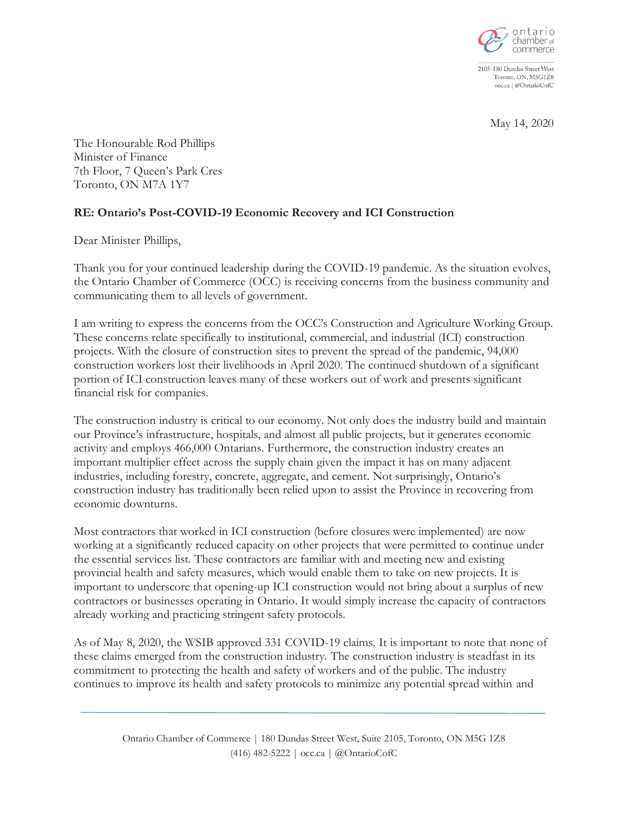

2105-180 Dundas Street West Toronto, ON, M5G1Z8 occ.ca | @OntarioCofC

May 14, 2020

The Honourable Rod Phillips Minister of Finance 7th Floor, 7 Queen's Park Cres Toronto, ON M7A 1Y7

## **RE: Ontario's Post-COVID-19 Economic Recovery and ICI Construction**

Dear Minister Phillips,

Thank you for your continued leadership during the COVID-19 pandemic. As the situation evolves, the Ontario Chamber of Commerce (OCC) is receiving concerns from the business community and communicating them to all levels of government.

I am writing to express the concerns from the OCC's Construction and Agriculture Working Group. These concerns relate specifically to institutional, commercial, and industrial (ICI) construction projects. With the closure of construction sites to prevent the spread of the pandemic, 94,000 construction workers lost their livelihoods in April 2020. The continued shutdown of a significant portion of ICI construction leaves many of these workers out of work and presents significant financial risk for companies.

The construction industry is critical to our economy. Not only does the industry build and maintain our Province's infrastructure, hospitals, and almost all public projects, but it generates economic activity and employs 466,000 Ontarians. Furthermore, the construction industry creates an important multiplier effect across the supply chain given the impact it has on many adjacent industries, including forestry, concrete, aggregate, and cement. Not surprisingly, Ontario's construction industry has traditionally been relied upon to assist the Province in recovering from economic downturns.

Most contractors that worked in ICI construction (before closures were implemented) are now working at a significantly reduced capacity on other projects that were permitted to continue under the essential services list. These contractors are familiar with and meeting new and existing provincial health and safety measures, which would enable them to take on new projects. It is important to underscore that opening-up ICI construction would not bring about a surplus of new contractors or businesses operating in Ontario. It would simply increase the capacity of contractors already working and practicing stringent safety protocols.

As of May 8, 2020, the WSIB approved 331 COVID-19 claims. It is important to note that none of these claims emerged from the construction industry. The construction industry is steadfast in its commitment to protecting the health and safety of workers and of the public. The industry continues to improve its health and safety protocols to minimize any potential spread within and